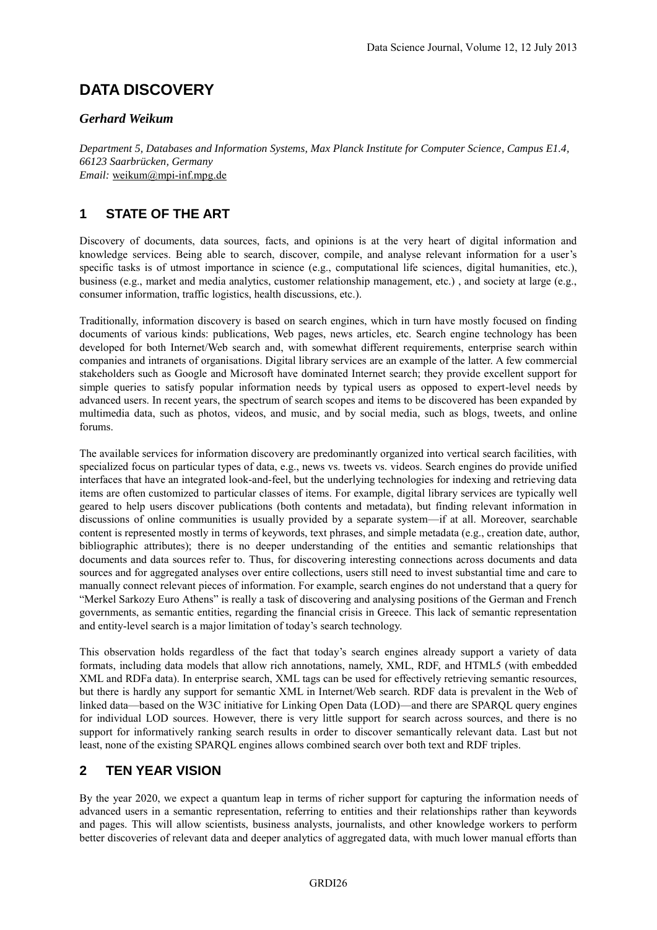# **DATA DISCOVERY**

#### *Gerhard Weikum*

*Department 5, Databases and Information Systems, Max Planck Institute for Computer Science, Campus E1.4, 66123 Saarbrücken, Germany Email:* weikum@mpi-inf.mpg.de

## **1 STATE OF THE ART**

Discovery of documents, data sources, facts, and opinions is at the very heart of digital information and knowledge services. Being able to search, discover, compile, and analyse relevant information for a user's specific tasks is of utmost importance in science (e.g., computational life sciences, digital humanities, etc.), business (e.g., market and media analytics, customer relationship management, etc.) , and society at large (e.g., consumer information, traffic logistics, health discussions, etc.).

Traditionally, information discovery is based on search engines, which in turn have mostly focused on finding documents of various kinds: publications, Web pages, news articles, etc. Search engine technology has been developed for both Internet/Web search and, with somewhat different requirements, enterprise search within companies and intranets of organisations. Digital library services are an example of the latter. A few commercial stakeholders such as Google and Microsoft have dominated Internet search; they provide excellent support for simple queries to satisfy popular information needs by typical users as opposed to expert-level needs by advanced users. In recent years, the spectrum of search scopes and items to be discovered has been expanded by multimedia data, such as photos, videos, and music, and by social media, such as blogs, tweets, and online forums.

The available services for information discovery are predominantly organized into vertical search facilities, with specialized focus on particular types of data, e.g., news vs. tweets vs. videos. Search engines do provide unified interfaces that have an integrated look-and-feel, but the underlying technologies for indexing and retrieving data items are often customized to particular classes of items. For example, digital library services are typically well geared to help users discover publications (both contents and metadata), but finding relevant information in discussions of online communities is usually provided by a separate system—if at all. Moreover, searchable content is represented mostly in terms of keywords, text phrases, and simple metadata (e.g., creation date, author, bibliographic attributes); there is no deeper understanding of the entities and semantic relationships that documents and data sources refer to. Thus, for discovering interesting connections across documents and data sources and for aggregated analyses over entire collections, users still need to invest substantial time and care to manually connect relevant pieces of information. For example, search engines do not understand that a query for "Merkel Sarkozy Euro Athens" is really a task of discovering and analysing positions of the German and French governments, as semantic entities, regarding the financial crisis in Greece. This lack of semantic representation and entity-level search is a major limitation of today's search technology.

This observation holds regardless of the fact that today's search engines already support a variety of data formats, including data models that allow rich annotations, namely, XML, RDF, and HTML5 (with embedded XML and RDFa data). In enterprise search, XML tags can be used for effectively retrieving semantic resources, but there is hardly any support for semantic XML in Internet/Web search. RDF data is prevalent in the Web of linked data—based on the W3C initiative for Linking Open Data (LOD)—and there are SPARQL query engines for individual LOD sources. However, there is very little support for search across sources, and there is no support for informatively ranking search results in order to discover semantically relevant data. Last but not least, none of the existing SPARQL engines allows combined search over both text and RDF triples.

### **2 TEN YEAR VISION**

By the year 2020, we expect a quantum leap in terms of richer support for capturing the information needs of advanced users in a semantic representation, referring to entities and their relationships rather than keywords and pages. This will allow scientists, business analysts, journalists, and other knowledge workers to perform better discoveries of relevant data and deeper analytics of aggregated data, with much lower manual efforts than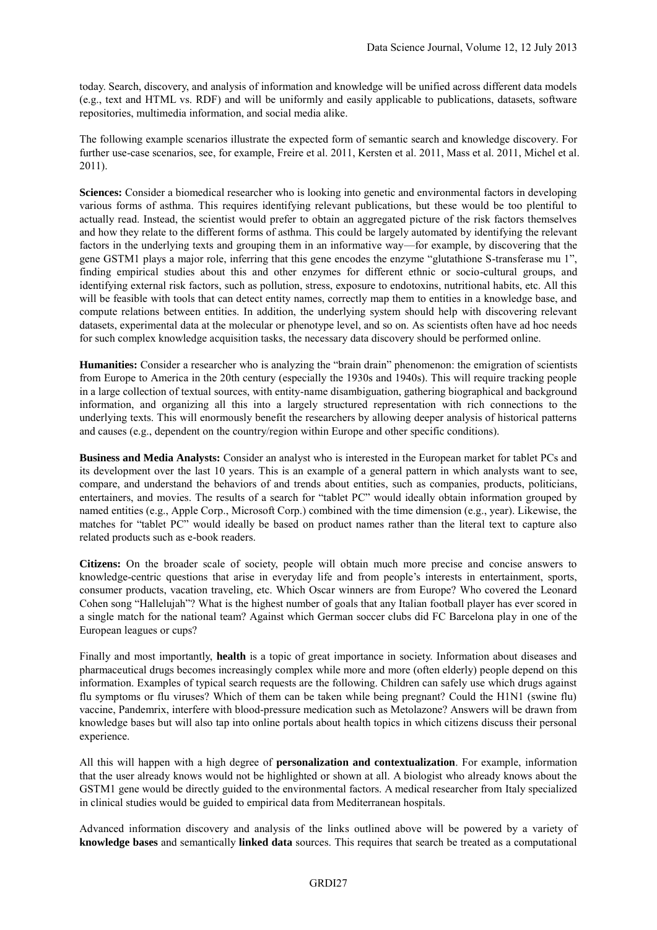today. Search, discovery, and analysis of information and knowledge will be unified across different data models (e.g., text and HTML vs. RDF) and will be uniformly and easily applicable to publications, datasets, software repositories, multimedia information, and social media alike.

The following example scenarios illustrate the expected form of semantic search and knowledge discovery. For further use-case scenarios, see, for example, Freire et al. 2011, Kersten et al. 2011, Mass et al. 2011, Michel et al. 2011).

**Sciences:** Consider a biomedical researcher who is looking into genetic and environmental factors in developing various forms of asthma. This requires identifying relevant publications, but these would be too plentiful to actually read. Instead, the scientist would prefer to obtain an aggregated picture of the risk factors themselves and how they relate to the different forms of asthma. This could be largely automated by identifying the relevant factors in the underlying texts and grouping them in an informative way—for example, by discovering that the gene GSTM1 plays a major role, inferring that this gene encodes the enzyme "glutathione S-transferase mu 1", finding empirical studies about this and other enzymes for different ethnic or socio-cultural groups, and identifying external risk factors, such as pollution, stress, exposure to endotoxins, nutritional habits, etc. All this will be feasible with tools that can detect entity names, correctly map them to entities in a knowledge base, and compute relations between entities. In addition, the underlying system should help with discovering relevant datasets, experimental data at the molecular or phenotype level, and so on. As scientists often have ad hoc needs for such complex knowledge acquisition tasks, the necessary data discovery should be performed online.

**Humanities:** Consider a researcher who is analyzing the "brain drain" phenomenon: the emigration of scientists from Europe to America in the 20th century (especially the 1930s and 1940s). This will require tracking people in a large collection of textual sources, with entity-name disambiguation, gathering biographical and background information, and organizing all this into a largely structured representation with rich connections to the underlying texts. This will enormously benefit the researchers by allowing deeper analysis of historical patterns and causes (e.g., dependent on the country/region within Europe and other specific conditions).

**Business and Media Analysts:** Consider an analyst who is interested in the European market for tablet PCs and its development over the last 10 years. This is an example of a general pattern in which analysts want to see, compare, and understand the behaviors of and trends about entities, such as companies, products, politicians, entertainers, and movies. The results of a search for "tablet PC" would ideally obtain information grouped by named entities (e.g., Apple Corp., Microsoft Corp.) combined with the time dimension (e.g., year). Likewise, the matches for "tablet PC" would ideally be based on product names rather than the literal text to capture also related products such as e-book readers.

**Citizens:** On the broader scale of society, people will obtain much more precise and concise answers to knowledge-centric questions that arise in everyday life and from people's interests in entertainment, sports, consumer products, vacation traveling, etc. Which Oscar winners are from Europe? Who covered the Leonard Cohen song "Hallelujah"? What is the highest number of goals that any Italian football player has ever scored in a single match for the national team? Against which German soccer clubs did FC Barcelona play in one of the European leagues or cups?

Finally and most importantly, **health** is a topic of great importance in society. Information about diseases and pharmaceutical drugs becomes increasingly complex while more and more (often elderly) people depend on this information. Examples of typical search requests are the following. Children can safely use which drugs against flu symptoms or flu viruses? Which of them can be taken while being pregnant? Could the H1N1 (swine flu) vaccine, Pandemrix, interfere with blood-pressure medication such as Metolazone? Answers will be drawn from knowledge bases but will also tap into online portals about health topics in which citizens discuss their personal experience.

All this will happen with a high degree of **personalization and contextualization**. For example, information that the user already knows would not be highlighted or shown at all. A biologist who already knows about the GSTM1 gene would be directly guided to the environmental factors. A medical researcher from Italy specialized in clinical studies would be guided to empirical data from Mediterranean hospitals.

Advanced information discovery and analysis of the links outlined above will be powered by a variety of **knowledge bases** and semantically **linked data** sources. This requires that search be treated as a computational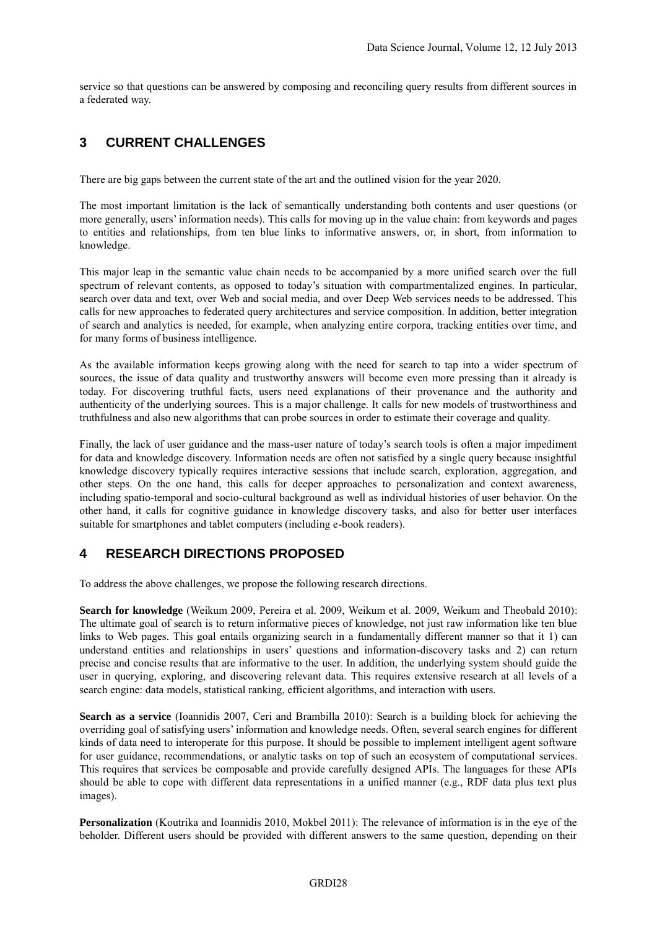service so that questions can be answered by composing and reconciling query results from different sources in a federated way.

# **3 CURRENT CHALLENGES**

There are big gaps between the current state of the art and the outlined vision for the year 2020.

The most important limitation is the lack of semantically understanding both contents and user questions (or more generally, users' information needs). This calls for moving up in the value chain: from keywords and pages to entities and relationships, from ten blue links to informative answers, or, in short, from information to knowledge.

This major leap in the semantic value chain needs to be accompanied by a more unified search over the full spectrum of relevant contents, as opposed to today's situation with compartmentalized engines. In particular, search over data and text, over Web and social media, and over Deep Web services needs to be addressed. This calls for new approaches to federated query architectures and service composition. In addition, better integration of search and analytics is needed, for example, when analyzing entire corpora, tracking entities over time, and for many forms of business intelligence.

As the available information keeps growing along with the need for search to tap into a wider spectrum of sources, the issue of data quality and trustworthy answers will become even more pressing than it already is today. For discovering truthful facts, users need explanations of their provenance and the authority and authenticity of the underlying sources. This is a major challenge. It calls for new models of trustworthiness and truthfulness and also new algorithms that can probe sources in order to estimate their coverage and quality.

Finally, the lack of user guidance and the mass-user nature of today's search tools is often a major impediment for data and knowledge discovery. Information needs are often not satisfied by a single query because insightful knowledge discovery typically requires interactive sessions that include search, exploration, aggregation, and other steps. On the one hand, this calls for deeper approaches to personalization and context awareness, including spatio-temporal and socio-cultural background as well as individual histories of user behavior. On the other hand, it calls for cognitive guidance in knowledge discovery tasks, and also for better user interfaces suitable for smartphones and tablet computers (including e-book readers).

### **4 RESEARCH DIRECTIONS PROPOSED**

To address the above challenges, we propose the following research directions.

**Search for knowledge** (Weikum 2009, Pereira et al. 2009, Weikum et al. 2009, Weikum and Theobald 2010): The ultimate goal of search is to return informative pieces of knowledge, not just raw information like ten blue links to Web pages. This goal entails organizing search in a fundamentally different manner so that it 1) can understand entities and relationships in users' questions and information-discovery tasks and 2) can return precise and concise results that are informative to the user. In addition, the underlying system should guide the user in querying, exploring, and discovering relevant data. This requires extensive research at all levels of a search engine: data models, statistical ranking, efficient algorithms, and interaction with users.

**Search as a service** (Ioannidis 2007, Ceri and Brambilla 2010): Search is a building block for achieving the overriding goal of satisfying users' information and knowledge needs. Often, several search engines for different kinds of data need to interoperate for this purpose. It should be possible to implement intelligent agent software for user guidance, recommendations, or analytic tasks on top of such an ecosystem of computational services. This requires that services be composable and provide carefully designed APIs. The languages for these APIs should be able to cope with different data representations in a unified manner (e.g., RDF data plus text plus images).

**Personalization** (Koutrika and Ioannidis 2010, Mokbel 2011): The relevance of information is in the eye of the beholder. Different users should be provided with different answers to the same question, depending on their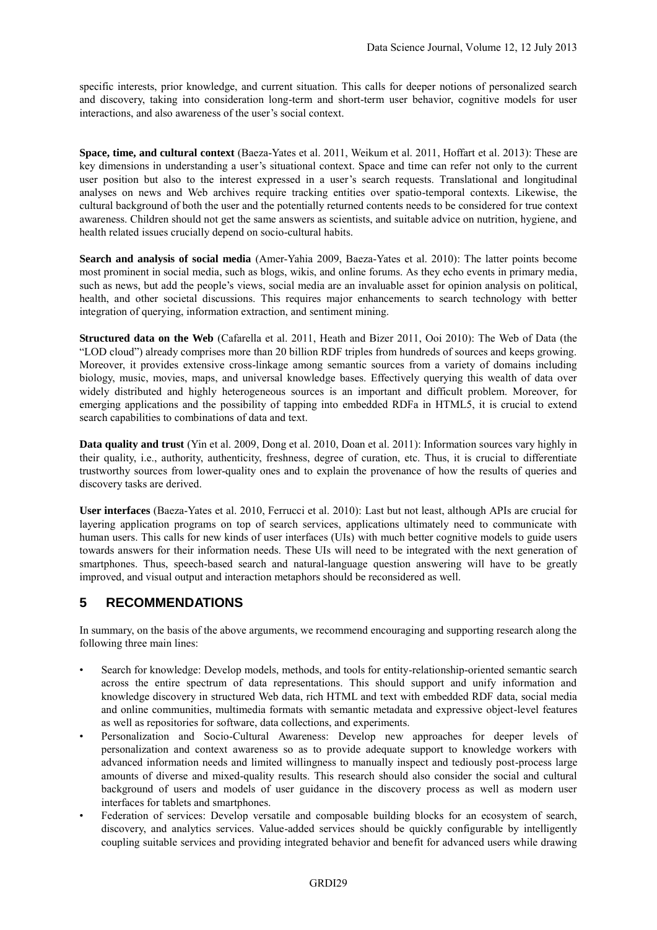specific interests, prior knowledge, and current situation. This calls for deeper notions of personalized search and discovery, taking into consideration long-term and short-term user behavior, cognitive models for user interactions, and also awareness of the user's social context.

**Space, time, and cultural context** (Baeza-Yates et al. 2011, Weikum et al. 2011, Hoffart et al. 2013): These are key dimensions in understanding a user's situational context. Space and time can refer not only to the current user position but also to the interest expressed in a user's search requests. Translational and longitudinal analyses on news and Web archives require tracking entities over spatio-temporal contexts. Likewise, the cultural background of both the user and the potentially returned contents needs to be considered for true context awareness. Children should not get the same answers as scientists, and suitable advice on nutrition, hygiene, and health related issues crucially depend on socio-cultural habits.

**Search and analysis of social media** (Amer-Yahia 2009, Baeza-Yates et al. 2010): The latter points become most prominent in social media, such as blogs, wikis, and online forums. As they echo events in primary media, such as news, but add the people's views, social media are an invaluable asset for opinion analysis on political, health, and other societal discussions. This requires major enhancements to search technology with better integration of querying, information extraction, and sentiment mining.

**Structured data on the Web** (Cafarella et al. 2011, Heath and Bizer 2011, Ooi 2010): The Web of Data (the "LOD cloud") already comprises more than 20 billion RDF triples from hundreds of sources and keeps growing. Moreover, it provides extensive cross-linkage among semantic sources from a variety of domains including biology, music, movies, maps, and universal knowledge bases. Effectively querying this wealth of data over widely distributed and highly heterogeneous sources is an important and difficult problem. Moreover, for emerging applications and the possibility of tapping into embedded RDFa in HTML5, it is crucial to extend search capabilities to combinations of data and text.

**Data quality and trust** (Yin et al. 2009, Dong et al. 2010, Doan et al. 2011): Information sources vary highly in their quality, i.e., authority, authenticity, freshness, degree of curation, etc. Thus, it is crucial to differentiate trustworthy sources from lower-quality ones and to explain the provenance of how the results of queries and discovery tasks are derived.

**User interfaces** (Baeza-Yates et al. 2010, Ferrucci et al. 2010): Last but not least, although APIs are crucial for layering application programs on top of search services, applications ultimately need to communicate with human users. This calls for new kinds of user interfaces (UIs) with much better cognitive models to guide users towards answers for their information needs. These UIs will need to be integrated with the next generation of smartphones. Thus, speech-based search and natural-language question answering will have to be greatly improved, and visual output and interaction metaphors should be reconsidered as well.

### **5 RECOMMENDATIONS**

In summary, on the basis of the above arguments, we recommend encouraging and supporting research along the following three main lines:

- Search for knowledge: Develop models, methods, and tools for entity-relationship-oriented semantic search across the entire spectrum of data representations. This should support and unify information and knowledge discovery in structured Web data, rich HTML and text with embedded RDF data, social media and online communities, multimedia formats with semantic metadata and expressive object-level features as well as repositories for software, data collections, and experiments.
- Personalization and Socio-Cultural Awareness: Develop new approaches for deeper levels of personalization and context awareness so as to provide adequate support to knowledge workers with advanced information needs and limited willingness to manually inspect and tediously post-process large amounts of diverse and mixed-quality results. This research should also consider the social and cultural background of users and models of user guidance in the discovery process as well as modern user interfaces for tablets and smartphones.
- Federation of services: Develop versatile and composable building blocks for an ecosystem of search, discovery, and analytics services. Value-added services should be quickly configurable by intelligently coupling suitable services and providing integrated behavior and benefit for advanced users while drawing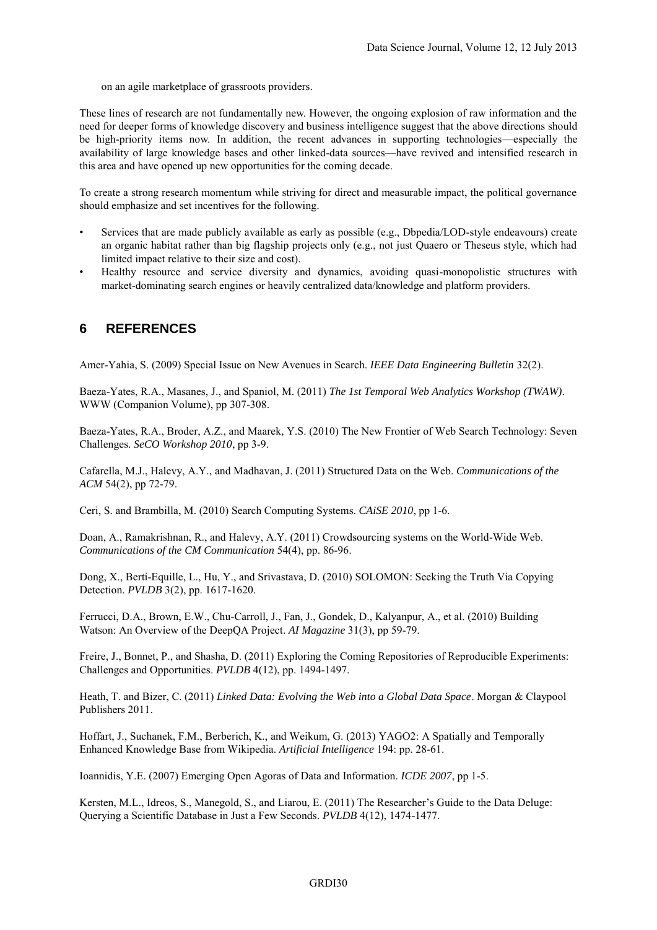on an agile marketplace of grassroots providers.

These lines of research are not fundamentally new. However, the ongoing explosion of raw information and the need for deeper forms of knowledge discovery and business intelligence suggest that the above directions should be high-priority items now. In addition, the recent advances in supporting technologies—especially the availability of large knowledge bases and other linked-data sources—have revived and intensified research in this area and have opened up new opportunities for the coming decade.

To create a strong research momentum while striving for direct and measurable impact, the political governance should emphasize and set incentives for the following.

- Services that are made publicly available as early as possible (e.g., Dbpedia/LOD-style endeavours) create an organic habitat rather than big flagship projects only (e.g., not just Quaero or Theseus style, which had limited impact relative to their size and cost).
- Healthy resource and service diversity and dynamics, avoiding quasi-monopolistic structures with market-dominating search engines or heavily centralized data/knowledge and platform providers.

#### **6 REFERENCES**

Amer-Yahia, S. (2009) Special Issue on New Avenues in Search. *IEEE Data Engineering Bulletin* 32(2).

Baeza-Yates, R.A., Masanes, J., and Spaniol, M. (2011) *The 1st Temporal Web Analytics Workshop (TWAW)*. WWW (Companion Volume), pp 307-308.

Baeza-Yates, R.A., Broder, A.Z., and Maarek, Y.S. (2010) The New Frontier of Web Search Technology: Seven Challenges. *SeCO Workshop 2010*, pp 3-9.

Cafarella, M.J., Halevy, A.Y., and Madhavan, J. (2011) Structured Data on the Web. *Communications of the ACM* 54(2), pp 72-79.

Ceri, S. and Brambilla, M. (2010) Search Computing Systems. *CAiSE 2010*, pp 1-6.

Doan, A., Ramakrishnan, R., and Halevy, A.Y. (2011) Crowdsourcing systems on the World-Wide Web. *Communications of the CM Communication* 54(4), pp. 86-96.

Dong, X., Berti-Equille, L., Hu, Y., and Srivastava, D. (2010) SOLOMON: Seeking the Truth Via Copying Detection. *PVLDB* 3(2), pp. 1617-1620.

Ferrucci, D.A., Brown, E.W., Chu-Carroll, J., Fan, J., Gondek, D., Kalyanpur, A., et al. (2010) Building Watson: An Overview of the DeepQA Project. *AI Magazine* 31(3), pp 59-79.

Freire, J., Bonnet, P., and Shasha, D. (2011) Exploring the Coming Repositories of Reproducible Experiments: Challenges and Opportunities. *PVLDB* 4(12), pp. 1494-1497.

Heath, T. and Bizer, C. (2011) *Linked Data: Evolving the Web into a Global Data Space*. Morgan & Claypool Publishers 2011.

Hoffart, J., Suchanek, F.M., Berberich, K., and Weikum, G. (2013) YAGO2: A Spatially and Temporally Enhanced Knowledge Base from Wikipedia. *Artificial Intelligence* 194: pp. 28-61.

Ioannidis, Y.E. (2007) Emerging Open Agoras of Data and Information. *ICDE 2007*, pp 1-5.

Kersten, M.L., Idreos, S., Manegold, S., and Liarou, E. (2011) The Researcher's Guide to the Data Deluge: Querying a Scientific Database in Just a Few Seconds. *PVLDB* 4(12), 1474-1477.